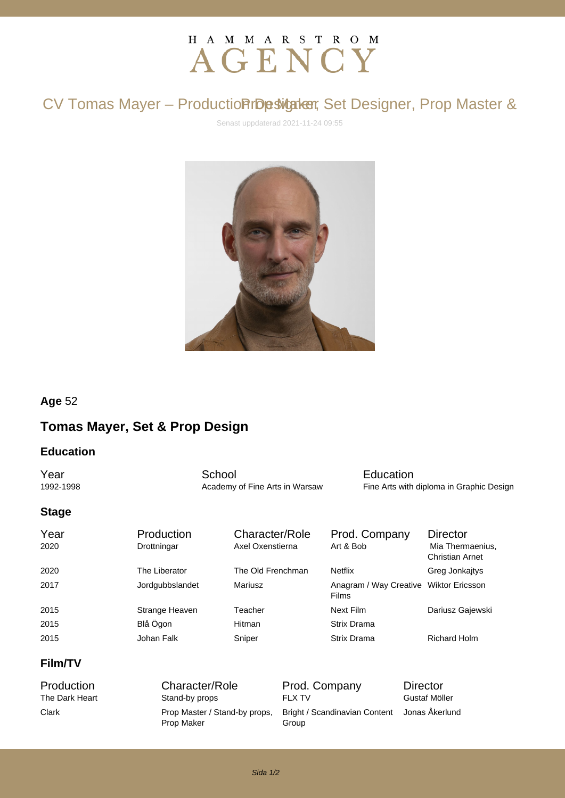# H A M M A R S T R O M AGENCY

## CV Tomas Mayer - Production rbesigner, Set Designer, Prop Master &

Senast uppdaterad 2021-11-24 09:55



#### **Age** 52

### **Tomas Mayer, Set & Prop Design**

#### **Education**

**The School School**<br>1992-1998 **Education**<br>1992-1998 **Example 20** Academy of Fine Arts in Warsaw **Eine Arts** with Academy of Fine Arts in Warsaw Fine Arts with diploma in Graphic Design

#### **Stage**

| Year<br>2020 | Production<br>Drottningar | Character/Role<br>Axel Oxenstierna | Prod. Company<br>Art & Bob                             | <b>Director</b><br>Mia Thermaenius,<br><b>Christian Arnet</b> |
|--------------|---------------------------|------------------------------------|--------------------------------------------------------|---------------------------------------------------------------|
| 2020         | The Liberator             | The Old Frenchman                  | <b>Netflix</b>                                         | Greg Jonkajtys                                                |
| 2017         | Jordgubbslandet           | Mariusz                            | Anagram / Way Creative Wiktor Ericsson<br><b>Films</b> |                                                               |
| 2015         | Strange Heaven            | Teacher                            | Next Film                                              | Dariusz Gajewski                                              |
| 2015         | Blå Ögon                  | <b>Hitman</b>                      | <b>Strix Drama</b>                                     |                                                               |
| 2015         | Johan Falk                | Sniper                             | Strix Drama                                            | <b>Richard Holm</b>                                           |

#### **Film/TV**

Clark **Prop Master / Stand-by props,** Prop Maker

Production Character/Role Prod. Company Director The Dark Heart **Stand-by props** FLX TV Gustaf Möller Bright / Scandinavian Content Jonas Åkerlund Group